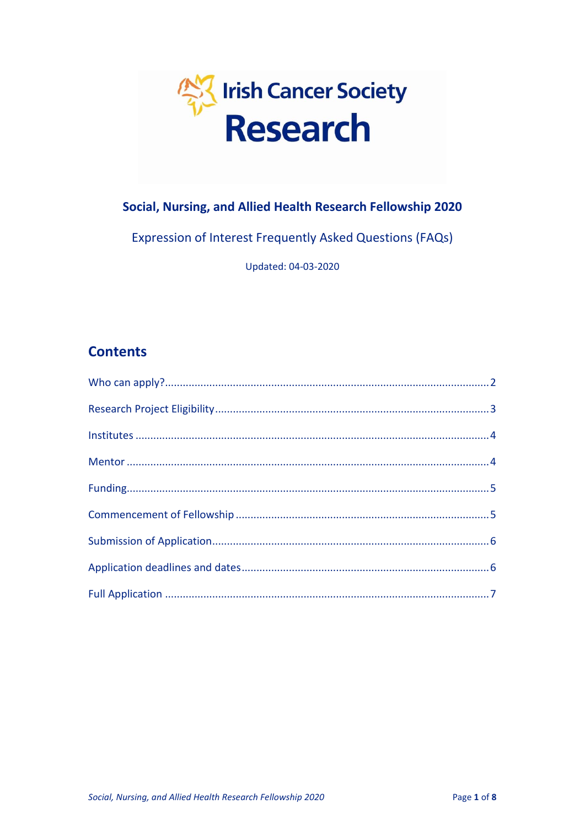

# Social, Nursing, and Allied Health Research Fellowship 2020

Expression of Interest Frequently Asked Questions (FAQs)

Updated: 04-03-2020

# **Contents**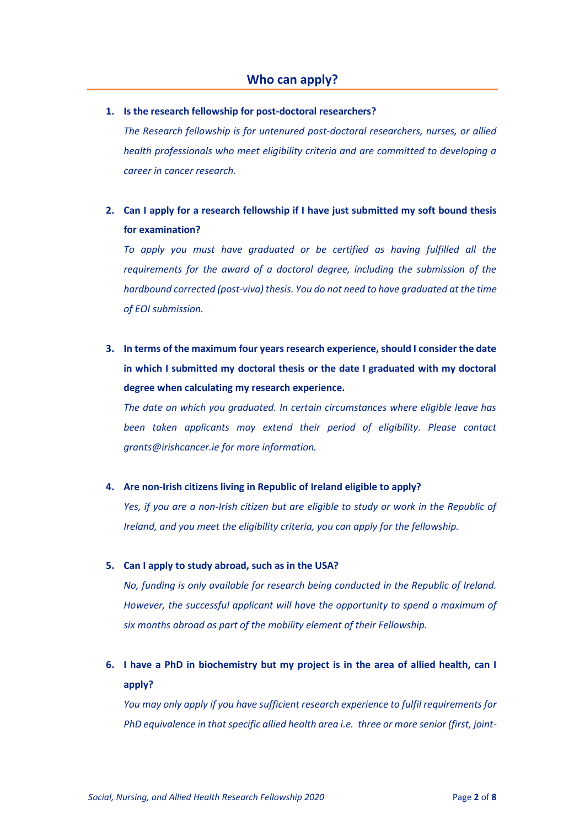### <span id="page-1-0"></span>**1. Is the research fellowship for post-doctoral researchers?**

*The Research fellowship is for untenured post-doctoral researchers, nurses, or allied health professionals who meet eligibility criteria and are committed to developing a career in cancer research.* 

# **2. Can I apply for a research fellowship if I have just submitted my soft bound thesis for examination?**

*To apply you must have graduated or be certified as having fulfilled all the requirements for the award of a doctoral degree, including the submission of the hardbound corrected (post-viva) thesis. You do not need to have graduated at the time of EOI submission.* 

# **3. In terms of the maximum four years research experience, should I consider the date in which I submitted my doctoral thesis or the date I graduated with my doctoral degree when calculating my research experience.**

*The date on which you graduated. In certain circumstances where eligible leave has been taken applicants may extend their period of eligibility. Please contact grants@irishcancer.ie for more information.*

### **4. Are non-Irish citizens living in Republic of Ireland eligible to apply?**

*Yes, if you are a non-Irish citizen but are eligible to study or work in the Republic of Ireland, and you meet the eligibility criteria, you can apply for the fellowship.*

### **5. Can I apply to study abroad, such as in the USA?**

*No, funding is only available for research being conducted in the Republic of Ireland. However, the successful applicant will have the opportunity to spend a maximum of six months abroad as part of the mobility element of their Fellowship.*

# **6. I have a PhD in biochemistry but my project is in the area of allied health, can I apply?**

*You may only apply if you have sufficient research experience to fulfil requirements for PhD equivalence in that specific allied health area i.e. three or more senior (first, joint-*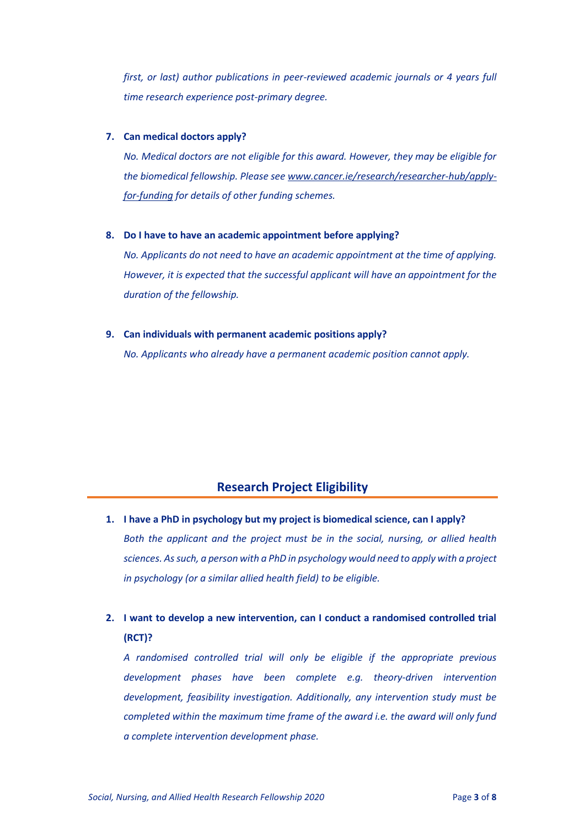*first, or last) author publications in peer-reviewed academic journals or 4 years full time research experience post-primary degree.*

#### **7. Can medical doctors apply?**

*No. Medical doctors are not eligible for this award. However, they may be eligible for the biomedical fellowship. Please se[e www.cancer.ie/research/researcher-hub/apply](http://www.cancer.ie/research/researcher-hub/apply-for-funding)[for-funding](http://www.cancer.ie/research/researcher-hub/apply-for-funding) for details of other funding schemes.*

#### **8. Do I have to have an academic appointment before applying?**

*No. Applicants do not need to have an academic appointment at the time of applying. However, it is expected that the successful applicant will have an appointment for the duration of the fellowship.* 

#### **9. Can individuals with permanent academic positions apply?**

*No. Applicants who already have a permanent academic position cannot apply.* 

## **Research Project Eligibility**

<span id="page-2-0"></span>**1. I have a PhD in psychology but my project is biomedical science, can I apply?** *Both the applicant and the project must be in the social, nursing, or allied health sciences. As such, a person with a PhD in psychology would need to apply with a project in psychology (or a similar allied health field) to be eligible.* 

# **2. I want to develop a new intervention, can I conduct a randomised controlled trial (RCT)?**

*A randomised controlled trial will only be eligible if the appropriate previous development phases have been complete e.g. theory-driven intervention development, feasibility investigation. Additionally, any intervention study must be completed within the maximum time frame of the award i.e. the award will only fund a complete intervention development phase.*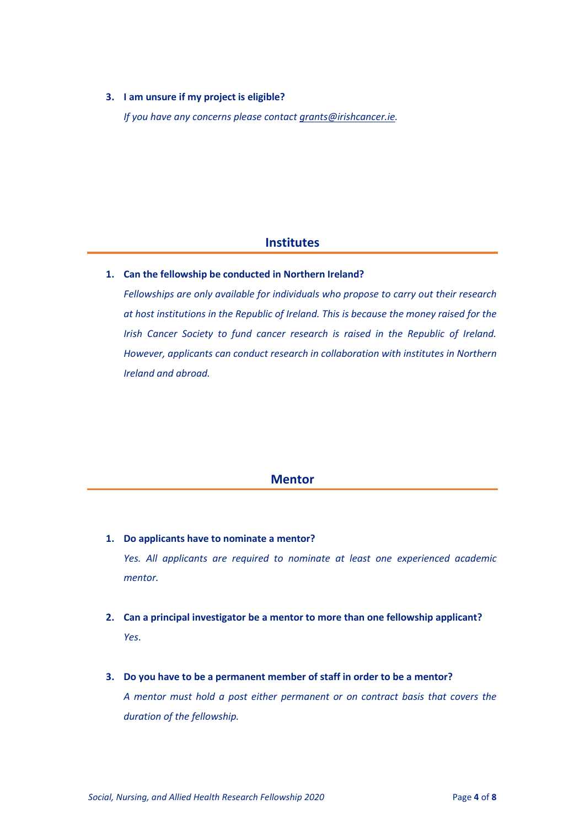## **3. I am unsure if my project is eligible?**

*If you have any concerns please contact [grants@irishcancer.ie.](mailto:grants@irishcancer.ie)*

## **Institutes**

## <span id="page-3-0"></span>**1. Can the fellowship be conducted in Northern Ireland?**

*Fellowships are only available for individuals who propose to carry out their research at host institutions in the Republic of Ireland. This is because the money raised for the Irish Cancer Society to fund cancer research is raised in the Republic of Ireland. However, applicants can conduct research in collaboration with institutes in Northern Ireland and abroad.*

## **Mentor**

- <span id="page-3-1"></span>**1. Do applicants have to nominate a mentor?** *Yes. All applicants are required to nominate at least one experienced academic mentor.*
- **2. Can a principal investigator be a mentor to more than one fellowship applicant?** *Yes*.
- **3. Do you have to be a permanent member of staff in order to be a mentor?** *A mentor must hold a post either permanent or on contract basis that covers the duration of the fellowship.*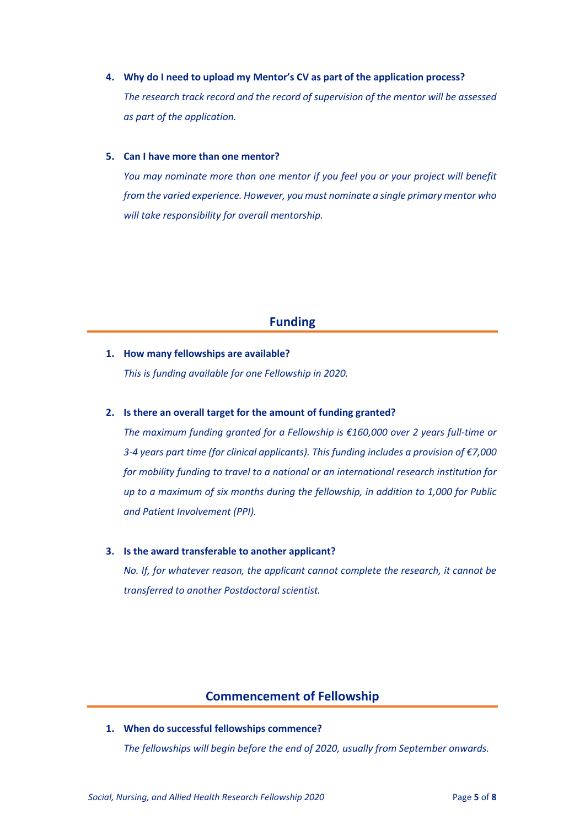**4. Why do I need to upload my Mentor's CV as part of the application process?** *The research track record and the record of supervision of the mentor will be assessed as part of the application.*

#### **5. Can I have more than one mentor?**

*You may nominate more than one mentor if you feel you or your project will benefit from the varied experience. However, you must nominate a single primary mentor who will take responsibility for overall mentorship.* 

## **Funding**

## <span id="page-4-0"></span>**1. How many fellowships are available?**

*This is funding available for one Fellowship in 2020.* 

#### **2. Is there an overall target for the amount of funding granted?**

*The maximum funding granted for a Fellowship is €160,000 over 2 years full-time or 3-4 years part time (for clinical applicants). This funding includes a provision of €7,000 for mobility funding to travel to a national or an international research institution for up to a maximum of six months during the fellowship, in addition to 1,000 for Public and Patient Involvement (PPI).* 

#### **3. Is the award transferable to another applicant?**

*No. If, for whatever reason, the applicant cannot complete the research, it cannot be transferred to another Postdoctoral scientist.* 

## **Commencement of Fellowship**

<span id="page-4-1"></span>**1. When do successful fellowships commence?** *The fellowships will begin before the end of 2020, usually from September onwards.*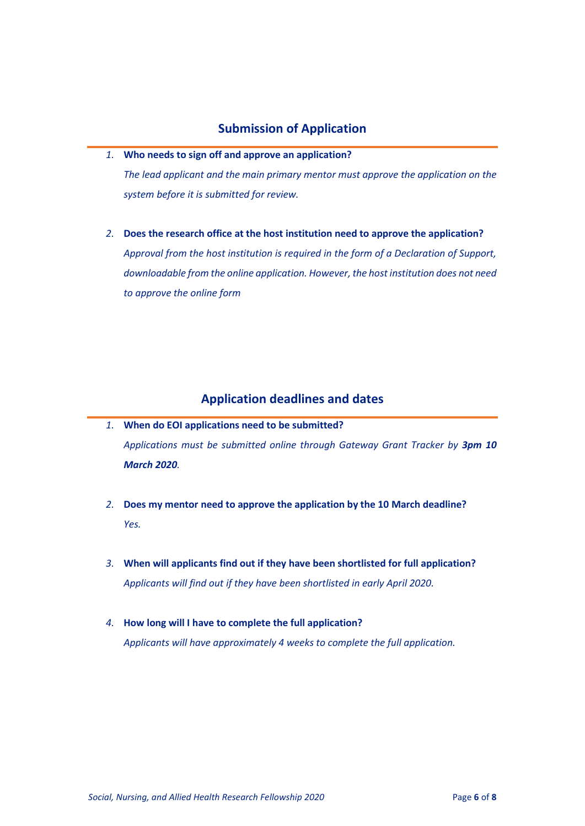# **Submission of Application**

<span id="page-5-0"></span>*1.* **Who needs to sign off and approve an application?**

*The lead applicant and the main primary mentor must approve the application on the system before it is submitted for review.* 

*2.* **Does the research office at the host institution need to approve the application?** *Approval from the host institution is required in the form of a Declaration of Support,*

*downloadable from the online application. However, the host institution does not need to approve the online form*

# **Application deadlines and dates**

- <span id="page-5-1"></span>*1.* **When do EOI applications need to be submitted?** *Applications must be submitted online through Gateway Grant Tracker by 3pm 10 March 2020.*
- *2.* **Does my mentor need to approve the application by the 10 March deadline?** *Yes.*
- *3.* **When will applicants find out if they have been shortlisted for full application?** *Applicants will find out if they have been shortlisted in early April 2020.*
- *4.* **How long will I have to complete the full application?** *Applicants will have approximately 4 weeks to complete the full application.*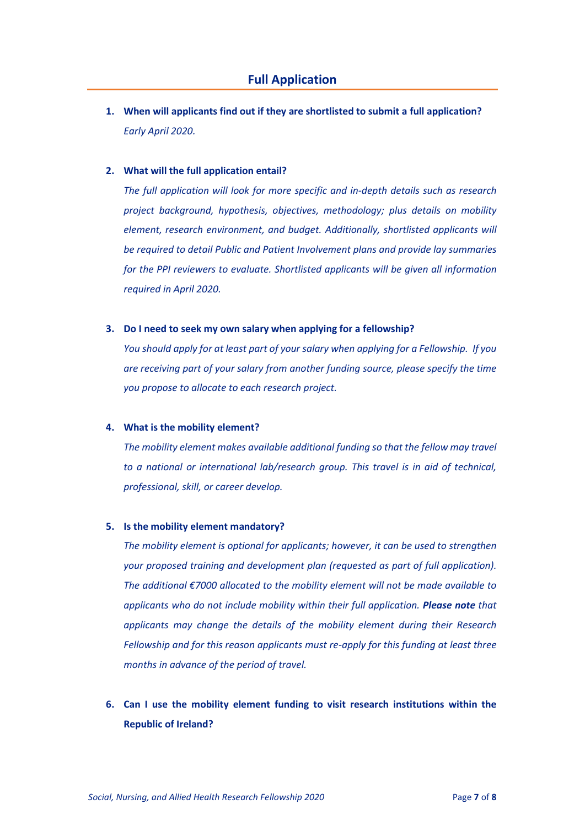<span id="page-6-0"></span>**1. When will applicants find out if they are shortlisted to submit a full application?** *Early April 2020.*

#### **2. What will the full application entail?**

*The full application will look for more specific and in-depth details such as research project background, hypothesis, objectives, methodology; plus details on mobility element, research environment, and budget. Additionally, shortlisted applicants will be required to detail Public and Patient Involvement plans and provide lay summaries for the PPI reviewers to evaluate. Shortlisted applicants will be given all information required in April 2020.*

### **3. Do I need to seek my own salary when applying for a fellowship?**

*You should apply for at least part of your salary when applying for a Fellowship. If you are receiving part of your salary from another funding source, please specify the time you propose to allocate to each research project.*

#### **4. What is the mobility element?**

*The mobility element makes available additional funding so that the fellow may travel to a national or international lab/research group. This travel is in aid of technical, professional, skill, or career develop.*

### **5. Is the mobility element mandatory?**

*The mobility element is optional for applicants; however, it can be used to strengthen your proposed training and development plan (requested as part of full application). The additional €7000 allocated to the mobility element will not be made available to applicants who do not include mobility within their full application. Please note that applicants may change the details of the mobility element during their Research Fellowship and for this reason applicants must re-apply for this funding at least three months in advance of the period of travel.* 

**6. Can I use the mobility element funding to visit research institutions within the Republic of Ireland?**